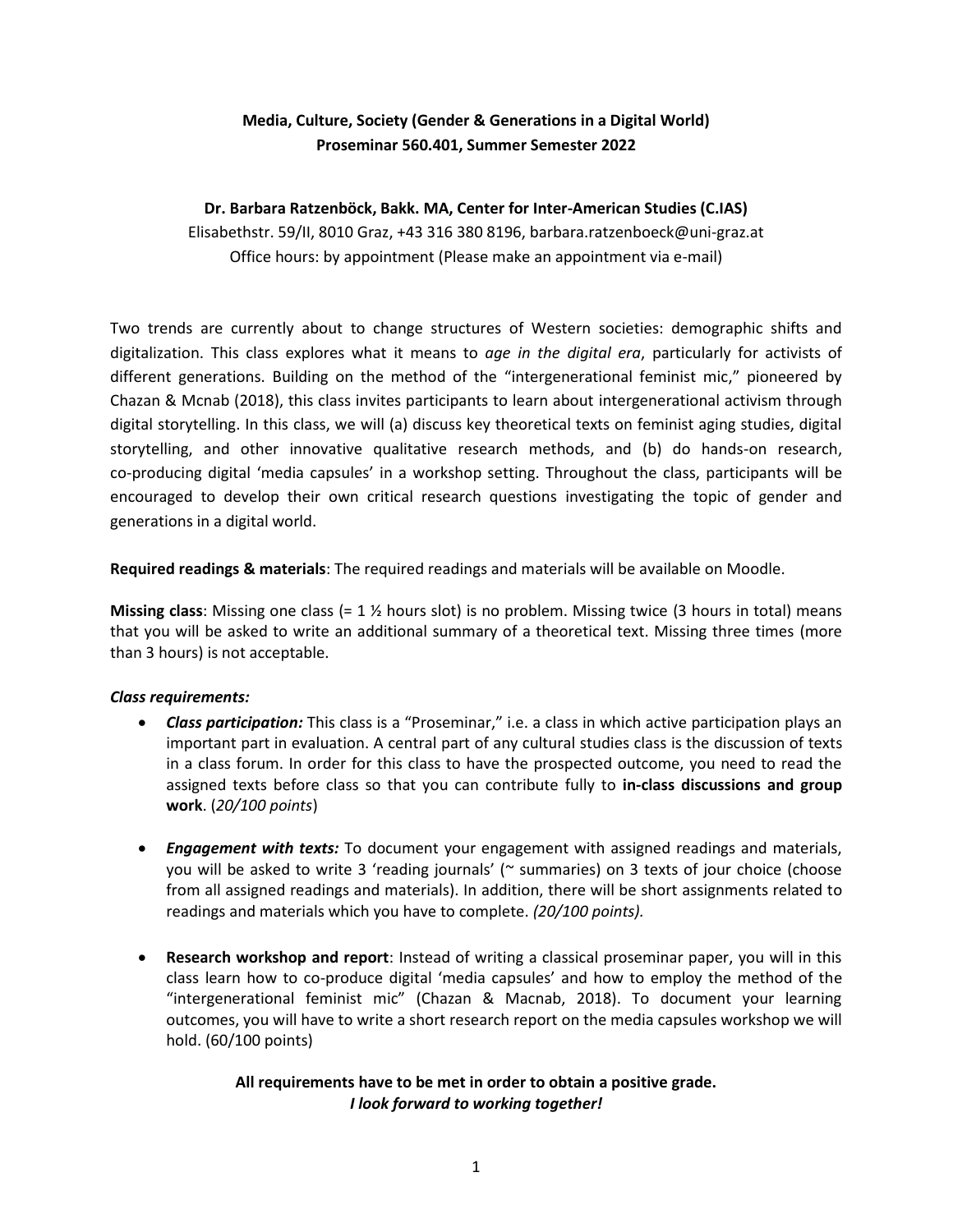# **Media, Culture, Society (Gender & Generations in a Digital World) Proseminar 560.401, Summer Semester 2022**

## **Dr. Barbara Ratzenböck, Bakk. MA, Center for Inter-American Studies (C.IAS)**

Elisabethstr. 59/II, 8010 Graz, +43 316 380 8196, barbara.ratzenboeck@uni-graz.at Office hours: by appointment (Please make an appointment via e-mail)

Two trends are currently about to change structures of Western societies: demographic shifts and digitalization. This class explores what it means to *age in the digital era*, particularly for activists of different generations. Building on the method of the "intergenerational feminist mic," pioneered by Chazan & Mcnab (2018), this class invites participants to learn about intergenerational activism through digital storytelling. In this class, we will (a) discuss key theoretical texts on feminist aging studies, digital storytelling, and other innovative qualitative research methods, and (b) do hands-on research, co-producing digital 'media capsules' in a workshop setting. Throughout the class, participants will be encouraged to develop their own critical research questions investigating the topic of gender and generations in a digital world.

**Required readings & materials**: The required readings and materials will be available on Moodle.

**Missing class**: Missing one class (= 1 ½ hours slot) is no problem. Missing twice (3 hours in total) means that you will be asked to write an additional summary of a theoretical text. Missing three times (more than 3 hours) is not acceptable.

#### *Class requirements:*

- *Class participation:* This class is a "Proseminar," i.e. a class in which active participation plays an important part in evaluation. A central part of any cultural studies class is the discussion of texts in a class forum. In order for this class to have the prospected outcome, you need to read the assigned texts before class so that you can contribute fully to **in-class discussions and group work**. (*20/100 points*)
- *Engagement with texts:* To document your engagement with assigned readings and materials, you will be asked to write 3 'reading journals' (~ summaries) on 3 texts of jour choice (choose from all assigned readings and materials). In addition, there will be short assignments related to readings and materials which you have to complete. *(20/100 points).*
- **Research workshop and report**: Instead of writing a classical proseminar paper, you will in this class learn how to co-produce digital 'media capsules' and how to employ the method of the "intergenerational feminist mic" (Chazan & Macnab, 2018). To document your learning outcomes, you will have to write a short research report on the media capsules workshop we will hold. (60/100 points)

## **All requirements have to be met in order to obtain a positive grade.** *I look forward to working together!*